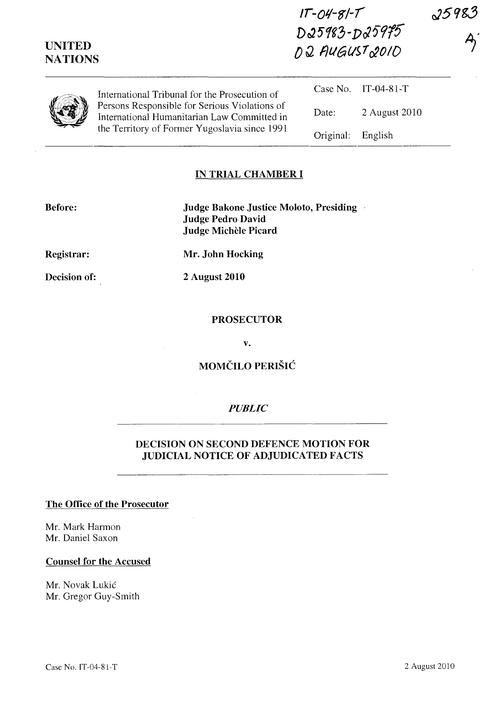| <b>UNITED</b><br><b>NATIONS</b> |                                                                                                                                               | $IT - O4 - 8I - T$<br>D25983-D25975<br>D2 AUGUST 2010 |               | 25983 |
|---------------------------------|-----------------------------------------------------------------------------------------------------------------------------------------------|-------------------------------------------------------|---------------|-------|
|                                 | International Tribunal for the Prosecution of                                                                                                 | Case No.                                              | $IT-04-81-T$  |       |
|                                 | Persons Responsible for Serious Violations of<br>International Humanitarian Law Committed in<br>the Territory of Former Yugoslavia since 1991 | Date:                                                 | 2 August 2010 |       |
|                                 |                                                                                                                                               | Original:                                             | English       |       |

### **IN TRIAL CHAMBER I**

**Judge Bakone Justice Moloto, Presiding Judge Pedro David Judge Michele Picard** 

**Registrar:** 

**Mr. John Hocking** 

**Decision of:** 

**2 August 2010** 

## **PROSECUTOR**

**v.** 

# **MOMCILO PERISIC**

## *PUBLIC*

## **DECISION ON SECOND DEFENCE MOTION FOR JUDICIAL NOTICE OF ADJUDICATED FACTS**

#### **The Office of the Prosecutor**

Mr. Mark Harmon Mr. Daniel Saxon

#### **Counsel for the Accused**

Mr. Novak Lukic Mr. Gregor Guy-Smith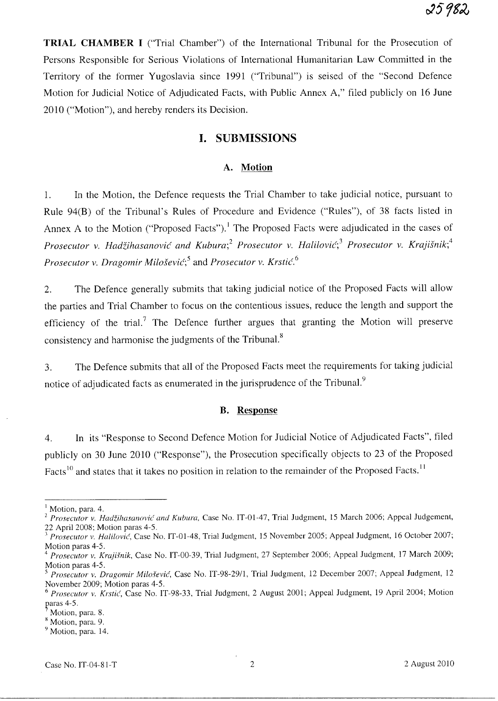**TRIAL CHAMBER I** ("Trial Chamber") of the International Tribunal for the Prosecution of Persons Responsible for Serious Violations of International Humanitarian Law Committed in the Territory of the former Yugoslavia since 1991 ("Tribunal") is seised of the "Second Defence Motion for Judicial Notice of Adjudicated Facts, with Public Annex A," filed publicly on 16 June 2010 ("Motion"), and hereby renders its Decision.

## **I. SUBMISSIONS**

#### **A. Motion**

1. **In** the Motion, the Defence requests the Trial Chamber to take judicial notice, pursuant to Rule 94(B) of the Tribunal's Rules of Procedure and Evidence ("Rules"), of 38 facts listed in Annex A to the Motion ("Proposed Facts").<sup>1</sup> The Proposed Facts were adjudicated in the cases of *Prosecutor v. Hadzihasanovic and Kubura;2 Prosecutor v. Halilovic;3 Prosecutor v. Krajisnik;4 Prosecutor v. Dragomir Milosevic;5* and *Prosecutor v. Krstic.* <sup>6</sup>

2. The Defence generally submits that taking judicial notice of the Proposed Facts will allow the parties and Trial Chamber to focus on the contentious issues, reduce the length and support the efficiency of the trial.<sup>7</sup> The Defence further argues that granting the Motion will preserve consistency and harmonise the judgments of the Tribunal.<sup>8</sup>

3. The Defence submits that all of the Proposed Facts meet the requirements for taking judicial notice of adjudicated facts as enumerated in the jurisprudence of the Tribunal.<sup>9</sup>

#### **B. Response**

4. **In** its "Response to Second Defence Motion for Judicial Notice of Adjudicated Facts", filed publicly on 30 June 2010 ("Response"), the Prosecution specifically objects to 23 of the Proposed Facts<sup>10</sup> and states that it takes no position in relation to the remainder of the Proposed Facts.<sup>11</sup>

<sup>&</sup>lt;sup>1</sup> Motion, para. 4.

<sup>&</sup>lt;sup>2</sup> Prosecutor v. Hadžihasanović and Kubura, Case No. IT-01-47, Trial Judgment, 15 March 2006; Appeal Judgement, 22 April 200S; Motion paras 4-5.

<sup>3</sup>*Prosecutor v. Halilovic',* Case No. IT-0l-4S, Trial Judgment, 15 November 2005; Appeal Judgment, 16 October 2007; Motion paras 4-5.

<sup>&</sup>lt;sup>4</sup> Prosecutor v. Krajišnik, Case No. IT-00-39, Trial Judgment, 27 September 2006; Appeal Judgment, 17 March 2009; Motion paras 4-5.

<sup>&</sup>lt;sup>5</sup> Prosecutor v. Dragomir Milošević, Case No. IT-98-29/1, Trial Judgment, 12 December 2007; Appeal Judgment, 12 November 2009; Motion paras 4-5.

*<sup>6</sup> Prosecutor v. Krstic',* Case No. IT-9S-33, Trial Judgment, 2 August 2001; Appeal Judgment, 19 April 2004; Motion paras  $4-5$ .

Motion, para. S.

<sup>&</sup>lt;sup>8</sup> Motion, para. 9.

<sup>&</sup>lt;sup>9</sup> Motion, para. 14.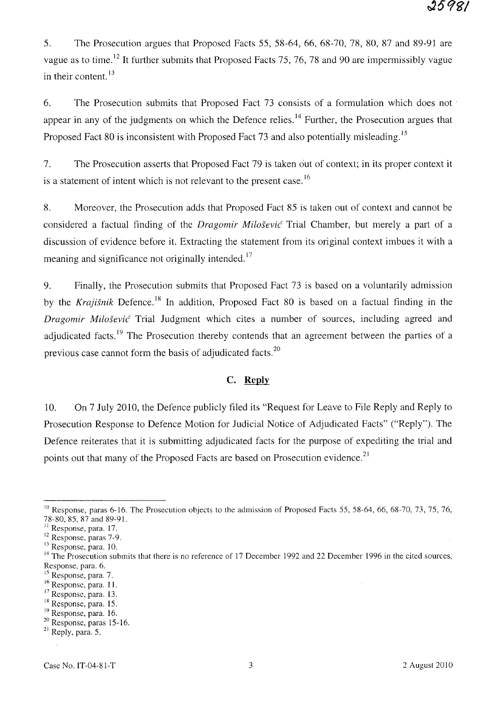5. The Prosecution argues that Proposed Facts 55, 58-64, 66, 68-70, 78, 80, 87 and 89-91 are vague as to time.<sup>12</sup> It further submits that Proposed Facts 75, 76, 78 and 90 are impermissibly vague in their content.<sup>13</sup>

6. The Prosecution submits that Proposed Fact 73 consists of a formulation which does not· appear in any of the judgments on which the Defence relies.<sup>14</sup> Further, the Prosecution argues that Proposed Fact 80 is inconsistent with Proposed Fact 73 and also potentially misleading.<sup>15</sup>

7. The Prosecution asserts that Proposed Fact 79 is taken out of context; in its proper context it is a statement of intent which is not relevant to the present case.<sup>16</sup>

8. Moreover, the Prosecution adds that Proposed Fact 85 is taken out of context and cannot be considered a factual finding of the *Dragomir Milosevic* Trial Chamber, but merely a part of a discussion of evidence before it. Extracting the statement from its original context imbues it with a meaning and significance not originally intended.<sup>17</sup>

9. Finally, the Prosecution submits that Proposed Fact 73 is based on a voluntarily admission by the *Krajišnik* Defence.<sup>18</sup> In addition, Proposed Fact 80 is based on a factual finding in the *Dragomir Milosevic* Trial Judgment which cites a number of sources, including agreed and adjudicated facts.<sup>19</sup> The Prosecution thereby contends that an agreement between the parties of a previous case cannot form the basis of adjudicated facts. 2o

## C. **Reply**

10. On 7 July 2010, the Defence publicly filed its "Request for Leave to File Reply and Reply to Prosecution Response to Defence Motion for Judicial Notice of Adjudicated Facts" ("Reply"). The Defence reiterates that it is submitting adjudicated facts for the purpose of expediting the trial and points out that many of the Proposed Facts are based on Prosecution evidence.<sup>21</sup>

 $10$  Response, paras 6-16. The Prosecution objects to the admission of Proposed Facts 55, 58-64, 66, 68-70, 73, 75, 76, 78-80, 85, 87 and 89-91.

 $<sup>11</sup>$  Response, para. 17.</sup>

<sup>&</sup>lt;sup>12</sup> Response, paras 7-9.

<sup>&</sup>lt;sup>13</sup> Response, para. 10.

<sup>&</sup>lt;sup>14</sup> The Prosecution submits that there is no reference of 17 December 1992 and 22 December 1996 in the cited sources, Response, para. 6.

<sup>&</sup>lt;sup>15</sup> Response, para. 7.

<sup>&</sup>lt;sup>16</sup> Response, para. 11.

<sup>17</sup>Response, para. 13.

<sup>&</sup>lt;sup>18</sup> Response, para. 15.

<sup>&</sup>lt;sup>19</sup> Response, para. 16.

<sup>20</sup> Response, paras 15-16.

<sup>&</sup>lt;sup>21</sup> Reply, para. 5.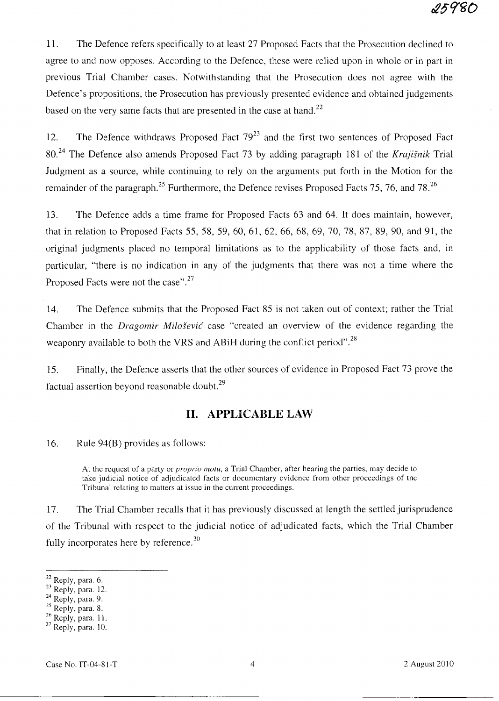11. The Defence refers specifically to at least 27 Proposed Facts that the Prosecution declined to agree to and now opposes. According to the Defence, these were relied upon in whole or in part in previous Trial Chamber cases. Notwithstanding that the Prosecution does not agree with the Defence's propositions, the Prosecution has previously presented evidence and obtained judgements based on the very same facts that are presented in the case at hand.<sup>22</sup>

12. The Defence withdraws Proposed Fact  $79^{23}$  and the first two sentences of Proposed Fact 80. 24 The Defence also amends Proposed Fact 73 by adding paragraph 181 of the *Krajisnik* Trial Judgment as a source, while continuing to rely on the arguments put forth in the Motion for the remainder of the paragraph.<sup>25</sup> Furthermore, the Defence revises Proposed Facts 75, 76, and 78.<sup>26</sup>

13. The Defence adds a time frame for Proposed Facts 63 and 64. It does maintain, however, that in relation to Proposed Facts 55,58,59,60,61,62,66,68,69,70,78, 87, 89, 90, and 91, the original judgments placed no temporal limitations as to the applicability of those facts and, in particular, "there is no indication in any of the judgments that there was not a time where the Proposed Facts were not the case".<sup>27</sup>

14. The Defence submits that the Proposed Fact 85 is not taken out of context; rather the Trial Chamber in the *Dragomir Milosevic* case "created an overview of the evidence regarding the weaponry available to both the VRS and ABiH during the conflict period".<sup>28</sup>

15. Finally, the Defence asserts that the other sources of evidence in Proposed Fact 73 prove the factual assertion beyond reasonable doubt. $^{29}$ 

# **11. APPLICABLE LAW**

16. Rule 94(B) provides as follows:

At the request of a party or *proprio motu,* a Trial Chamber, after hearing the parties, may decide to take judicial notice of adjudicated facts or documentary evidence from other proceedings of the Tribunal relating to matters at issue in the current proceedings.

17. The Trial Chamber recalls that it has previously discussed at length the settled jurisprudence of the Tribunal with respect to the judicial notice of adjudicated facts, which the Trial Chamber fully incorporates here by reference.<sup>30</sup>

<sup>&</sup>lt;sup>22</sup> Reply, para. 6.

 $23$  Reply, para. 12.

 $24$  Reply, para. 9.

 $25$  Reply, para. 8.

 $26$  Reply, para. 11.

 $27$  Reply, para. 10.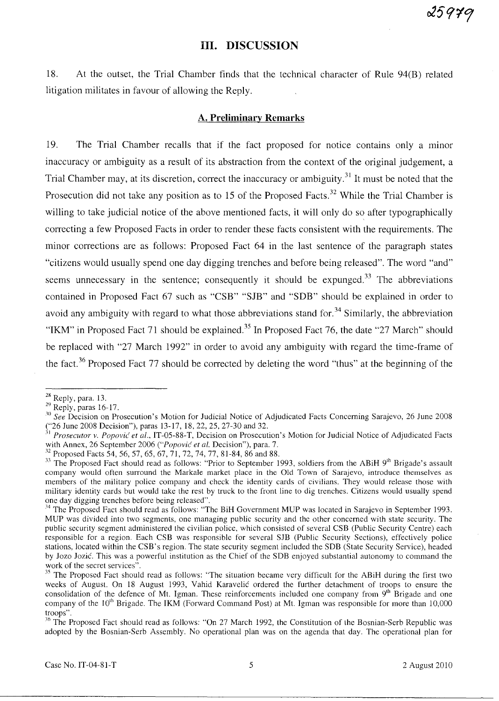## **Ill. DISCUSSION**

18. At the outset, the Trial Chamber finds that the technical character of Rule 94(B) related litigation militates in favour of allowing the Reply.

### **A. Preliminary Remarks**

19. The Trial Chamber recalls that if the fact proposed for notice contains only a minor inaccuracy or ambiguity as a result of its abstraction from the context of the original judgement, a Trial Chamber may, at its discretion, correct the inaccuracy or ambiguity.<sup>31</sup> It must be noted that the Prosecution did not take any position as to 15 of the Proposed Facts.<sup>32</sup> While the Trial Chamber is willing to take judicial notice of the above mentioned facts, it will only do so after typographically correcting a few Proposed Facts in order to render these facts consistent with the requirements. The minor corrections are as follows: Proposed Fact 64 in the last sentence of the paragraph states "citizens would usually spend one day digging trenches and before being released". The word "and" seems unnecessary in the sentence; consequently it should be expunged.<sup>33</sup> The abbreviations contained in Proposed Fact 67 such as "CSB" "SJB" and "SDB" should be explained in order to avoid any ambiguity with regard to what those abbreviations stand for.<sup>34</sup> Similarly, the abbreviation "IKM" in Proposed Fact 71 should be explained.<sup>35</sup> In Proposed Fact 76, the date "27 March" should be replaced with "27 March 1992" in order to avoid any ambiguity with regard the time-frame of the fact.<sup>36</sup> Proposed Fact 77 should be corrected by deleting the word "thus" at the beginning of the

 $28$  Reply, para. 13.

 $29$  Reply, paras 16-17.

*<sup>. 10</sup> See* Decision on Prosecution's Motion for Judicial Notice of Adjudicated Facts Concerning Sarajevo, 26 June 200S ("26 June 2008 Decision"), paras 13-17, 18, 22, 25, 27-30 and 32.

<sup>31</sup>*Prosecutor v. Popovic' et al.,* IT-05-SS-T, Decision on Prosecution's Motion for Judicial Notice of Adjudicated Facts with Annex, 26 September 2006 *("Popović et al. Decision")*, para. 7.

<sup>32</sup> Proposed Facts 54, 56, 57, 65, 67, 71, 72, 74, 77, SI-S4, S6 and SS.

 $33$  The Proposed Fact should read as follows: "Prior to September 1993, soldiers from the ABiH 9<sup>th</sup> Brigade's assault company would often surround the Markale market place in the Old Town of Sarajevo, introduce themselves as members of the military police company and check the identity cards of civilians. They would release those with military identity cards but would take the rest by truck to the front line to dig trenches. Citizens would usually spend one day digging trenches before being released".

<sup>&</sup>lt;sup>34</sup> The Proposed Fact should read as follows: "The BiH Government MUP was located in Sarajevo in September 1993. MUP was divided into two segments, one managing public security and the other concerned with state security. The public security segment administered the civilian police, which consisted of several CSB (Public Security Centre) each responsible for a region. Each CSB was responsible for several SJB (Public Security Sections), effectively police stations, located within the CSB's region. The state security segment included the SDB (State Security Service), headed by Jozo Jozic. This was a powerful institution as the Chief of the SDB enjoyed substantial autonomy to command the work of the secret services<sup>5</sup>.

<sup>&</sup>lt;sup>35</sup> The Proposed Fact should read as follows: "The situation became very difficult for the ABiH during the first two weeks of August. On IS August 1993, Vahid Karavelic ordered the further detachment of troops to ensure the consolidation of the defence of Mt. Igman. These reinforcements included one company from  $9<sup>th</sup>$  Brigade and one company of the 10<sup>th</sup> Brigade. The IKM (Forward Command Post) at Mt. Igman was responsible for more than 10,000 troops".

<sup>&</sup>lt;sup>36</sup> The Proposed Fact should read as follows: "On 27 March 1992, the Constitution of the Bosnian-Serb Republic was adopted by the Bosnian-Serb Assembly. No operational plan was on the agenda that day. The operational plan for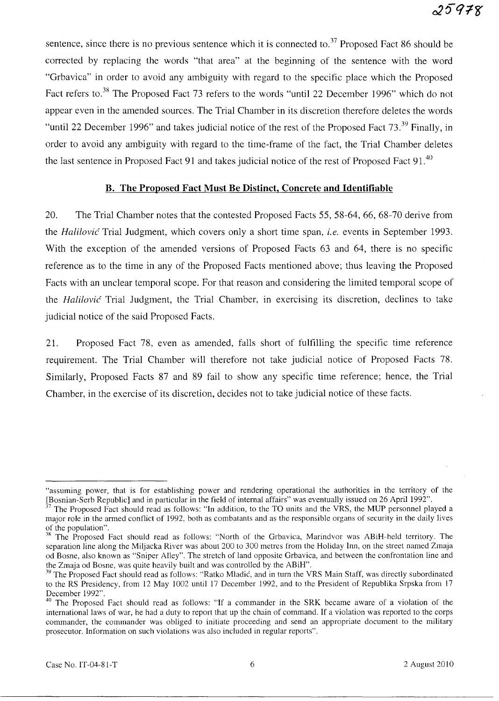sentence, since there is no previous sentence which it is connected to.<sup>37</sup> Proposed Fact 86 should be corrected by replacing the words "that area" at the beginning of the sentence with the word "Grbavica" in order to avoid any ambiguity with regard to the specific place which the Proposed Fact refers to.<sup>38</sup> The Proposed Fact 73 refers to the words "until 22 December 1996" which do not appear even in the amended sources. The Trial Chamber in its discretion therefore deletes the words "until 22 December 1996" and takes judicial notice of the rest of the Proposed Fact 73.<sup>39</sup> Finally, in order to avoid any ambiguity with regard to the time-frame of the fact, the Trial Chamber deletes the last sentence in Proposed Fact 91 and takes judicial notice of the rest of Proposed Fact 91.<sup>40</sup>

## **B. The Proposed Fact Must Be Distinct, Concrete and Identifiable**

20. The Trial Chamber notes that the contested Proposed Facts 55, 58-64, 66, 68-70 derive from the *Halilovic* Trial Judgment, which covers only a short time span, *i.e.* events in September 1993. With the exception of the amended versions of Proposed Facts 63 and 64, there is no specific reference as to the time in any of the Proposed Facts mentioned above; thus leaving the Proposed Facts with an unclear temporal scope. For that reason and considering the limited temporal scope of the *Halilovic* Trial Judgment, the Trial Chamber, in exercising its discretion, declines to take judicial notice of the said Proposed Facts.

21. Proposed Fact 78, even as amended, falls short of fulfilling the specific time reference requirement. The Trial Chamber will therefore not take judicial notice of Proposed Facts 78. Similarly, Proposed Facts 87 and 89 fail to show any specific time reference; hence, the Trial Chamber, in the exercise of its discretion, decides not to take judicial notice of these facts.

<sup>&</sup>quot;assuming power, that is for establishing power and rendering operational the authorities in the territory of the [Bosnian-Serb Republic] and in particular in the field of internal affairs" was eventually issued on 26 April 1992".

The Proposed Fact should read as follows: "In addition, to the TO units and the VRS, the MUP personnel played a major role in the armed conflict of 1992, both as combatants and as the responsible organs of security in the daily lives of the population".

<sup>&</sup>lt;sup>38</sup> The Proposed Fact should read as follows: "North of the Grbavica, Marindvor was ABiH-held territory. The separation line along the Miljacka River was about 200 to 300 metres from the Holiday Inn, on the street named Zmaja od Bosne, also known as "Sniper Alley". The stretch of land opposite Grbavica, and between the confrontation line and the Zmaja od Bosne, was quite heavily built and was controlled by the ABiH".

<sup>&</sup>lt;sup>39</sup> The Proposed Fact should read as follows: "Ratko Mladić, and in turn the VRS Main Staff, was directly subordinated to the RS Presidency, from 12 May 1002 until 17 December 1992, and to the President of Republika Srpska from 17 December 1992".

<sup>&</sup>lt;sup>40</sup> The Proposed Fact should read as follows: "If a commander in the SRK became aware of a violation of the international laws of war, he had a duty to report that up the chain of command. If a violation was reported to the corps commander, the commander was obliged to initiate proceeding and send an appropriate document to the military prosecutor. Information on such violations was also included in regular reports".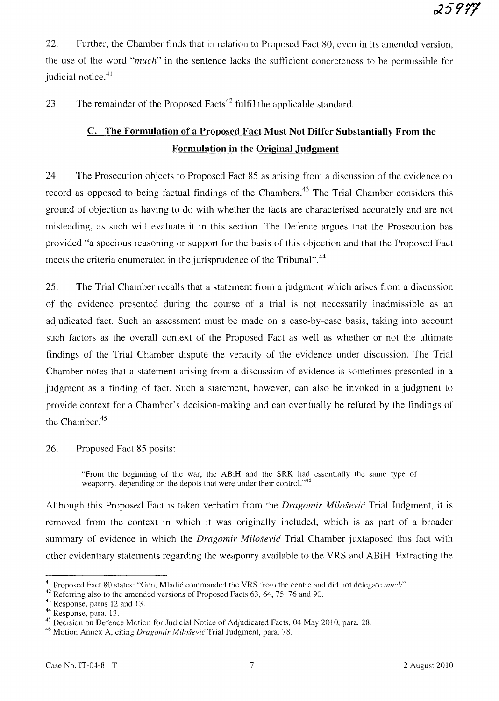22. Further, the Chamber finds that in relation to Proposed Fact 80, even in its amended version, the use of the word *"much"* in the sentence lacks the sufficient concreteness to be permissible for judicial notice.<sup>41</sup>

23. The remainder of the Proposed Facts<sup> $42$ </sup> fulfil the applicable standard.

# **c. The Formulation of a Proposed Fact Must Not Differ Substantially From the Formulation in the Original Judgment**

24. The Prosecution objects to Proposed Fact 85 as arising from a discussion of the evidence on record as opposed to being factual findings of the Chambers.<sup>43</sup> The Trial Chamber considers this ground of objection as having to do with whether the facts are characterised accurately and are not misleading, as such will evaluate it in this section. The Defence argues that the Prosecution has provided "a specious reasoning or support for the basis of this objection and that the Proposed Fact meets the criteria enumerated in the jurisprudence of the Tribunal".<sup>44</sup>

25. The Trial Chamber recalls that a statement from a judgment which arises from a discussion of the evidence presented during the course of a trial is not necessarily inadmissible as an adjudicated fact. Such an assessment must be made on a case-by-case basis, taking into account such factors as the overall context of the Proposed Fact as well as whether or not the ultimate findings of the Trial Chamber dispute the veracity of the evidence under discussion. The Trial Chamber notes that a statement arising from a discussion of evidence is sometimes presented in a judgment as a finding of fact. Such a statement, however, can also be invoked in a judgment to provide context for a Chamber's decision-making and can eventually be refuted by the findings of the Chamber.<sup>45</sup>

26. Proposed Fact 85 posits:

"From the beginning of the war, the ABiH and the SRK had essentially the same type of weaponry, depending on the depots that were under their control."<sup>46</sup>

Although this Proposed Fact is taken verbatim from the *Dragomir Milosevic* Trial Judgment, it is removed from the context in which it was originally included, which is as part of a broader summary of evidence in which the *Dragomir Milošević* Trial Chamber juxtaposed this fact with other evidentiary statements regarding the weaponry available to the VRS and ABiH. Extracting the

<sup>&</sup>lt;sup>41</sup> Proposed Fact 80 states: "Gen. Mladić commanded the VRS from the centre and did not delegate *much*".

<sup>&</sup>lt;sup>42</sup> Referring also to the amended versions of Proposed Facts 63, 64, 75, 76 and 90.

 $43$  Response, paras 12 and 13.

<sup>44</sup> Response, para. 13.

<sup>&</sup>lt;sup>45</sup> Decision on Defence Motion for Judicial Notice of Adjudicated Facts, 04 May 2010, para. 28.

<sup>&</sup>lt;sup>46</sup> Motion Annex A, citing *Dragomir Milošević* Trial Judgment, para. 78.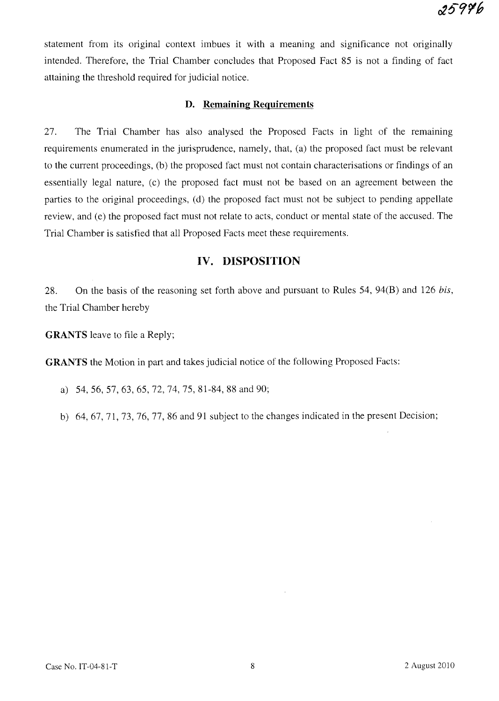statement from its original context imbues it with a meamng and significance not originally intended. Therefore, the Trial Chamber concludes that Proposed Fact 85 is not a finding of fact attaining the threshold required for judicial notice.

## **D. Remaining Requirements**

27. The Trial Chamber has also analysed the Proposed Facts in light of the remaining requirements enumerated in the jurisprudence, namely, that, (a) the proposed fact must be relevant to the current proceedings, (b) the proposed fact must not contain characterisations or findings of an essentially legal nature, (c) the proposed fact must not be based on an agreement between the parties to the original proceedings, (d) the proposed fact must not be subject to pending appellate review, and (e) the proposed fact must not relate to acts, conduct or mental state of the accused. The Trial Chamber is satisfied that all Proposed Facts meet these requirements.

## **IV. DISPOSITION**

28. On the basis of the reasoning set forth above and pursuant to Rules 54, 94(B) and 126 *bis,*  the Trial Chamber hereby

**GRANTS** leave to file a Reply;

**GRANTS** the Motion in part and takes judicial notice of the following Proposed Facts:

- a) 54,56,57,63,65,72,74,75,81-84,88 and 90;
- b) 64,67,71,73,76,77,86 and 91 subject to the changes indicated in the present Decision;